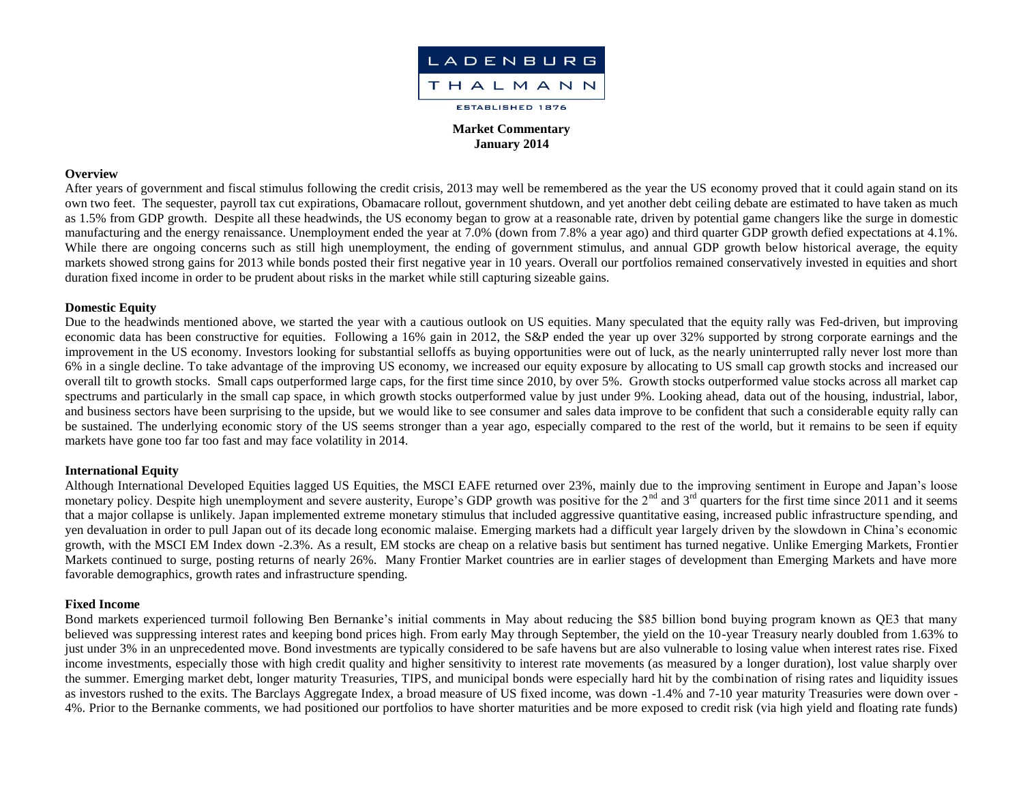

**Market Commentary January 2014**

#### **Overview**

After years of government and fiscal stimulus following the credit crisis, 2013 may well be remembered as the year the US economy proved that it could again stand on its own two feet. The sequester, payroll tax cut expirations, Obamacare rollout, government shutdown, and yet another debt ceiling debate are estimated to have taken as much as 1.5% from GDP growth. Despite all these headwinds, the US economy began to grow at a reasonable rate, driven by potential game changers like the surge in domestic manufacturing and the energy renaissance. Unemployment ended the year at 7.0% (down from 7.8% a year ago) and third quarter GDP growth defied expectations at 4.1%. While there are ongoing concerns such as still high unemployment, the ending of government stimulus, and annual GDP growth below historical average, the equity markets showed strong gains for 2013 while bonds posted their first negative year in 10 years. Overall our portfolios remained conservatively invested in equities and short duration fixed income in order to be prudent about risks in the market while still capturing sizeable gains.

# **Domestic Equity**

Due to the headwinds mentioned above, we started the year with a cautious outlook on US equities. Many speculated that the equity rally was Fed-driven, but improving economic data has been constructive for equities. Following a 16% gain in 2012, the S&P ended the year up over 32% supported by strong corporate earnings and the improvement in the US economy. Investors looking for substantial selloffs as buying opportunities were out of luck, as the nearly uninterrupted rally never lost more than 6% in a single decline. To take advantage of the improving US economy, we increased our equity exposure by allocating to US small cap growth stocks and increased our overall tilt to growth stocks. Small caps outperformed large caps, for the first time since 2010, by over 5%. Growth stocks outperformed value stocks across all market cap spectrums and particularly in the small cap space, in which growth stocks outperformed value by just under 9%. Looking ahead, data out of the housing, industrial, labor, and business sectors have been surprising to the upside, but we would like to see consumer and sales data improve to be confident that such a considerable equity rally can be sustained. The underlying economic story of the US seems stronger than a year ago, especially compared to the rest of the world, but it remains to be seen if equity markets have gone too far too fast and may face volatility in 2014.

# **International Equity**

Although International Developed Equities lagged US Equities, the MSCI EAFE returned over 23%, mainly due to the improving sentiment in Europe and Japan's loose monetary policy. Despite high unemployment and severe austerity, Europe's GDP growth was positive for the  $2<sup>nd</sup>$  and  $3<sup>rd</sup>$  quarters for the first time since 2011 and it seems that a major collapse is unlikely. Japan implemented extreme monetary stimulus that included aggressive quantitative easing, increased public infrastructure spending, and yen devaluation in order to pull Japan out of its decade long economic malaise. Emerging markets had a difficult year largely driven by the slowdown in China's economic growth, with the MSCI EM Index down -2.3%. As a result, EM stocks are cheap on a relative basis but sentiment has turned negative. Unlike Emerging Markets, Frontier Markets continued to surge, posting returns of nearly 26%. Many Frontier Market countries are in earlier stages of development than Emerging Markets and have more favorable demographics, growth rates and infrastructure spending.

# **Fixed Income**

Bond markets experienced turmoil following Ben Bernanke's initial comments in May about reducing the \$85 billion bond buying program known as QE3 that many believed was suppressing interest rates and keeping bond prices high. From early May through September, the yield on the 10-year Treasury nearly doubled from 1.63% to just under 3% in an unprecedented move. Bond investments are typically considered to be safe havens but are also vulnerable to losing value when interest rates rise. Fixed income investments, especially those with high credit quality and higher sensitivity to interest rate movements (as measured by a longer duration), lost value sharply over the summer. Emerging market debt, longer maturity Treasuries, TIPS, and municipal bonds were especially hard hit by the combination of rising rates and liquidity issues as investors rushed to the exits. The Barclays Aggregate Index, a broad measure of US fixed income, was down -1.4% and 7-10 year maturity Treasuries were down over - 4%. Prior to the Bernanke comments, we had positioned our portfolios to have shorter maturities and be more exposed to credit risk (via high yield and floating rate funds)